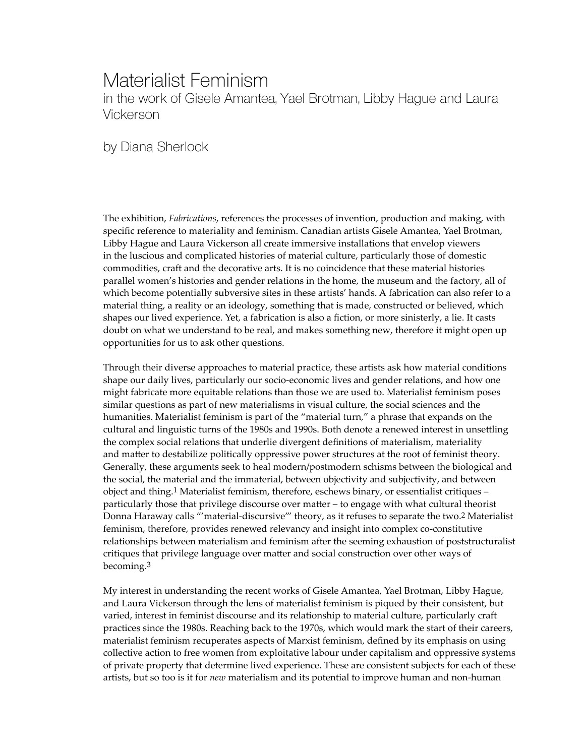## Materialist Feminism in the work of Gisele Amantea, Yael Brotman, Libby Hague and Laura Vickerson

by Diana Sherlock

The exhibition, *Fabrications*, references the processes of invention, production and making, with specific reference to materiality and feminism. Canadian artists Gisele Amantea, Yael Brotman, Libby Hague and Laura Vickerson all create immersive installations that envelop viewers in the luscious and complicated histories of material culture, particularly those of domestic commodities, craft and the decorative arts. It is no coincidence that these material histories parallel women's histories and gender relations in the home, the museum and the factory, all of which become potentially subversive sites in these artists' hands. A fabrication can also refer to a material thing, a reality or an ideology, something that is made, constructed or believed, which shapes our lived experience. Yet, a fabrication is also a fiction, or more sinisterly, a lie. It casts doubt on what we understand to be real, and makes something new, therefore it might open up opportunities for us to ask other questions.

Through their diverse approaches to material practice, these artists ask how material conditions shape our daily lives, particularly our socio-economic lives and gender relations, and how one might fabricate more equitable relations than those we are used to. Materialist feminism poses similar questions as part of new materialisms in visual culture, the social sciences and the humanities. Materialist feminism is part of the "material turn," a phrase that expands on the cultural and linguistic turns of the 1980s and 1990s. Both denote a renewed interest in unsettling the complex social relations that underlie divergent definitions of materialism, materiality and matter to destabilize politically oppressive power structures at the root of feminist theory. Generally, these arguments seek to heal modern/postmodern schisms between the biological and the social, the material and the immaterial, between objectivity and subjectivity, and between object and thing.1 Materialist feminism, therefore, eschews binary, or essentialist critiques – particularly those that privilege discourse over matter – to engage with what cultural theorist Donna Haraway calls "'material-discursive'" theory, as it refuses to separate the two.2 Materialist feminism, therefore, provides renewed relevancy and insight into complex co-constitutive relationships between materialism and feminism after the seeming exhaustion of poststructuralist critiques that privilege language over matter and social construction over other ways of becoming.3

My interest in understanding the recent works of Gisele Amantea, Yael Brotman, Libby Hague, and Laura Vickerson through the lens of materialist feminism is piqued by their consistent, but varied, interest in feminist discourse and its relationship to material culture, particularly craft practices since the 1980s. Reaching back to the 1970s, which would mark the start of their careers, materialist feminism recuperates aspects of Marxist feminism, defined by its emphasis on using collective action to free women from exploitative labour under capitalism and oppressive systems of private property that determine lived experience. These are consistent subjects for each of these artists, but so too is it for *new* materialism and its potential to improve human and non-human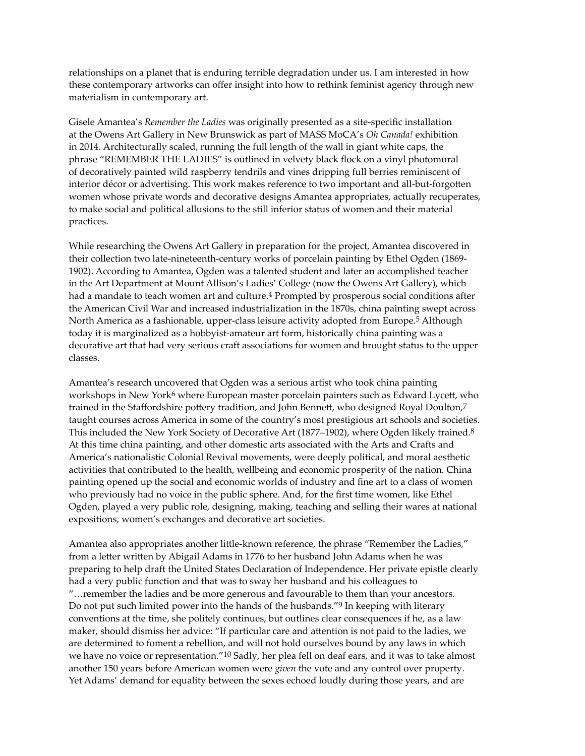relationships on a planet that is enduring terrible degradation under us. I am interested in how these contemporary artworks can offer insight into how to rethink feminist agency through new materialism in contemporary art.

Gisele Amantea's *Remember the Ladies* was originally presented as a site-specific installation at the Owens Art Gallery in New Brunswick as part of MASS MoCA's *Oh Canada!* exhibition in 2014. Architecturally scaled, running the full length of the wall in giant white caps, the phrase "REMEMBER THE LADIES" is outlined in velvety black flock on a vinyl photomural of decoratively painted wild raspberry tendrils and vines dripping full berries reminiscent of interior décor or advertising. This work makes reference to two important and all-but-forgotten women whose private words and decorative designs Amantea appropriates, actually recuperates, to make social and political allusions to the still inferior status of women and their material practices.

While researching the Owens Art Gallery in preparation for the project, Amantea discovered in their collection two late-nineteenth-century works of porcelain painting by Ethel Ogden (1869- 1902). According to Amantea, Ogden was a talented student and later an accomplished teacher in the Art Department at Mount Allison's Ladies' College (now the Owens Art Gallery), which had a mandate to teach women art and culture.<sup>4</sup> Prompted by prosperous social conditions after the American Civil War and increased industrialization in the 1870s, china painting swept across North America as a fashionable, upper-class leisure activity adopted from Europe.5 Although today it is marginalized as a hobbyist-amateur art form, historically china painting was a decorative art that had very serious craft associations for women and brought status to the upper classes.

Amantea's research uncovered that Ogden was a serious artist who took china painting workshops in New York<sup>6</sup> where European master porcelain painters such as Edward Lycett, who trained in the Staffordshire pottery tradition, and John Bennett, who designed Royal Doulton,7 taught courses across America in some of the country's most prestigious art schools and societies. This included the New York Society of Decorative Art (1877–1902), where Ogden likely trained.8 At this time china painting, and other domestic arts associated with the Arts and Crafts and America's nationalistic Colonial Revival movements, were deeply political, and moral aesthetic activities that contributed to the health, wellbeing and economic prosperity of the nation. China painting opened up the social and economic worlds of industry and fine art to a class of women who previously had no voice in the public sphere. And, for the first time women, like Ethel Ogden, played a very public role, designing, making, teaching and selling their wares at national expositions, women's exchanges and decorative art societies.

Amantea also appropriates another little-known reference, the phrase "Remember the Ladies," from a letter written by Abigail Adams in 1776 to her husband John Adams when he was preparing to help draft the United States Declaration of Independence. Her private epistle clearly had a very public function and that was to sway her husband and his colleagues to "…remember the ladies and be more generous and favourable to them than your ancestors. Do not put such limited power into the hands of the husbands."9 In keeping with literary conventions at the time, she politely continues, but outlines clear consequences if he, as a law maker, should dismiss her advice: "If particular care and attention is not paid to the ladies, we are determined to foment a rebellion, and will not hold ourselves bound by any laws in which we have no voice or representation."10 Sadly, her plea fell on deaf ears, and it was to take almost another 150 years before American women were *given* the vote and any control over property. Yet Adams' demand for equality between the sexes echoed loudly during those years, and are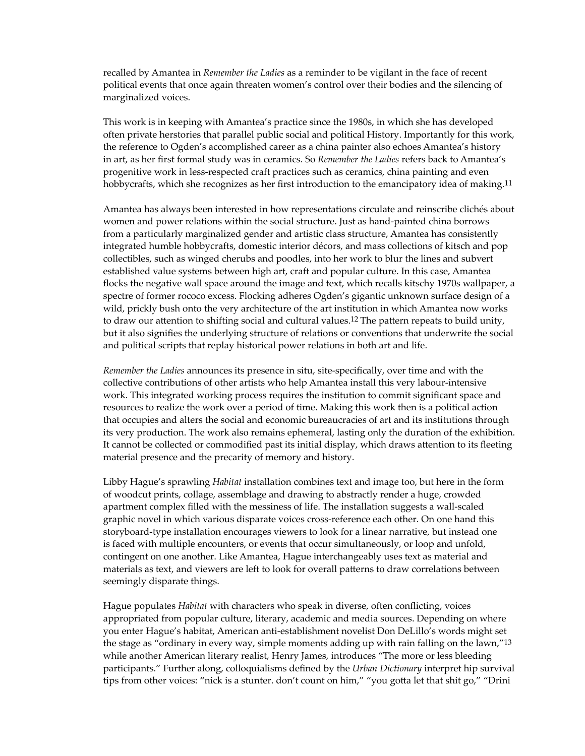recalled by Amantea in *Remember the Ladies* as a reminder to be vigilant in the face of recent political events that once again threaten women's control over their bodies and the silencing of marginalized voices.

This work is in keeping with Amantea's practice since the 1980s, in which she has developed often private herstories that parallel public social and political History. Importantly for this work, the reference to Ogden's accomplished career as a china painter also echoes Amantea's history in art, as her first formal study was in ceramics. So *Remember the Ladies* refers back to Amantea's progenitive work in less-respected craft practices such as ceramics, china painting and even hobbycrafts, which she recognizes as her first introduction to the emancipatory idea of making.<sup>11</sup>

Amantea has always been interested in how representations circulate and reinscribe clichés about women and power relations within the social structure. Just as hand-painted china borrows from a particularly marginalized gender and artistic class structure, Amantea has consistently integrated humble hobbycrafts, domestic interior décors, and mass collections of kitsch and pop collectibles, such as winged cherubs and poodles, into her work to blur the lines and subvert established value systems between high art, craft and popular culture. In this case, Amantea flocks the negative wall space around the image and text, which recalls kitschy 1970s wallpaper, a spectre of former rococo excess. Flocking adheres Ogden's gigantic unknown surface design of a wild, prickly bush onto the very architecture of the art institution in which Amantea now works to draw our attention to shifting social and cultural values.12 The pattern repeats to build unity, but it also signifies the underlying structure of relations or conventions that underwrite the social and political scripts that replay historical power relations in both art and life.

*Remember the Ladies* announces its presence in situ, site-specifically, over time and with the collective contributions of other artists who help Amantea install this very labour-intensive work. This integrated working process requires the institution to commit significant space and resources to realize the work over a period of time. Making this work then is a political action that occupies and alters the social and economic bureaucracies of art and its institutions through its very production. The work also remains ephemeral, lasting only the duration of the exhibition. It cannot be collected or commodified past its initial display, which draws attention to its fleeting material presence and the precarity of memory and history.

Libby Hague's sprawling *Habitat* installation combines text and image too, but here in the form of woodcut prints, collage, assemblage and drawing to abstractly render a huge, crowded apartment complex filled with the messiness of life. The installation suggests a wall-scaled graphic novel in which various disparate voices cross-reference each other. On one hand this storyboard-type installation encourages viewers to look for a linear narrative, but instead one is faced with multiple encounters, or events that occur simultaneously, or loop and unfold, contingent on one another. Like Amantea, Hague interchangeably uses text as material and materials as text, and viewers are left to look for overall patterns to draw correlations between seemingly disparate things.

Hague populates *Habitat* with characters who speak in diverse, often conflicting, voices appropriated from popular culture, literary, academic and media sources. Depending on where you enter Hague's habitat, American anti-establishment novelist Don DeLillo's words might set the stage as "ordinary in every way, simple moments adding up with rain falling on the lawn,"13 while another American literary realist, Henry James, introduces "The more or less bleeding participants." Further along, colloquialisms defined by the *Urban Dictionary* interpret hip survival tips from other voices: "nick is a stunter. don't count on him," "you gotta let that shit go," "Drini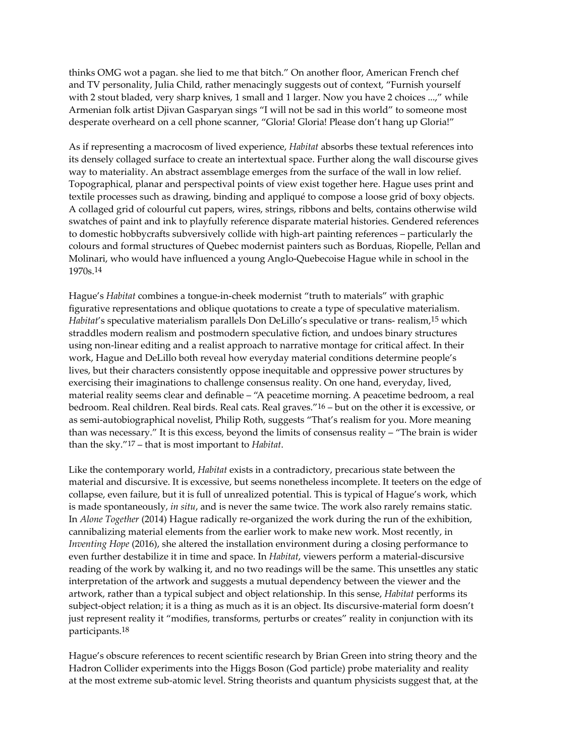thinks OMG wot a pagan. she lied to me that bitch." On another floor, American French chef and TV personality, Julia Child, rather menacingly suggests out of context, "Furnish yourself with 2 stout bladed, very sharp knives, 1 small and 1 larger. Now you have 2 choices ...," while Armenian folk artist Djivan Gasparyan sings "I will not be sad in this world" to someone most desperate overheard on a cell phone scanner, "Gloria! Gloria! Please don't hang up Gloria!"

As if representing a macrocosm of lived experience, *Habitat* absorbs these textual references into its densely collaged surface to create an intertextual space. Further along the wall discourse gives way to materiality. An abstract assemblage emerges from the surface of the wall in low relief. Topographical, planar and perspectival points of view exist together here. Hague uses print and textile processes such as drawing, binding and appliqué to compose a loose grid of boxy objects. A collaged grid of colourful cut papers, wires, strings, ribbons and belts, contains otherwise wild swatches of paint and ink to playfully reference disparate material histories. Gendered references to domestic hobbycrafts subversively collide with high-art painting references – particularly the colours and formal structures of Quebec modernist painters such as Borduas, Riopelle, Pellan and Molinari, who would have influenced a young Anglo-Quebecoise Hague while in school in the 1970s.14

Hague's *Habitat* combines a tongue-in-cheek modernist "truth to materials" with graphic figurative representations and oblique quotations to create a type of speculative materialism. *Habitat*'s speculative materialism parallels Don DeLillo's speculative or trans- realism,15 which straddles modern realism and postmodern speculative fiction, and undoes binary structures using non-linear editing and a realist approach to narrative montage for critical affect. In their work, Hague and DeLillo both reveal how everyday material conditions determine people's lives, but their characters consistently oppose inequitable and oppressive power structures by exercising their imaginations to challenge consensus reality. On one hand, everyday, lived, material reality seems clear and definable – "A peacetime morning. A peacetime bedroom, a real bedroom. Real children. Real birds. Real cats. Real graves."16 – but on the other it is excessive, or as semi-autobiographical novelist, Philip Roth, suggests "That's realism for you. More meaning than was necessary." It is this excess, beyond the limits of consensus reality – "The brain is wider than the sky."17 – that is most important to *Habitat*.

Like the contemporary world, *Habitat* exists in a contradictory, precarious state between the material and discursive. It is excessive, but seems nonetheless incomplete. It teeters on the edge of collapse, even failure, but it is full of unrealized potential. This is typical of Hague's work, which is made spontaneously, *in situ*, and is never the same twice. The work also rarely remains static. In *Alone Together* (2014) Hague radically re-organized the work during the run of the exhibition, cannibalizing material elements from the earlier work to make new work. Most recently, in *Inventing Hope* (2016), she altered the installation environment during a closing performance to even further destabilize it in time and space. In *Habitat*, viewers perform a material-discursive reading of the work by walking it, and no two readings will be the same. This unsettles any static interpretation of the artwork and suggests a mutual dependency between the viewer and the artwork, rather than a typical subject and object relationship. In this sense, *Habitat* performs its subject-object relation; it is a thing as much as it is an object. Its discursive-material form doesn't just represent reality it "modifies, transforms, perturbs or creates" reality in conjunction with its participants.18

Hague's obscure references to recent scientific research by Brian Green into string theory and the Hadron Collider experiments into the Higgs Boson (God particle) probe materiality and reality at the most extreme sub-atomic level. String theorists and quantum physicists suggest that, at the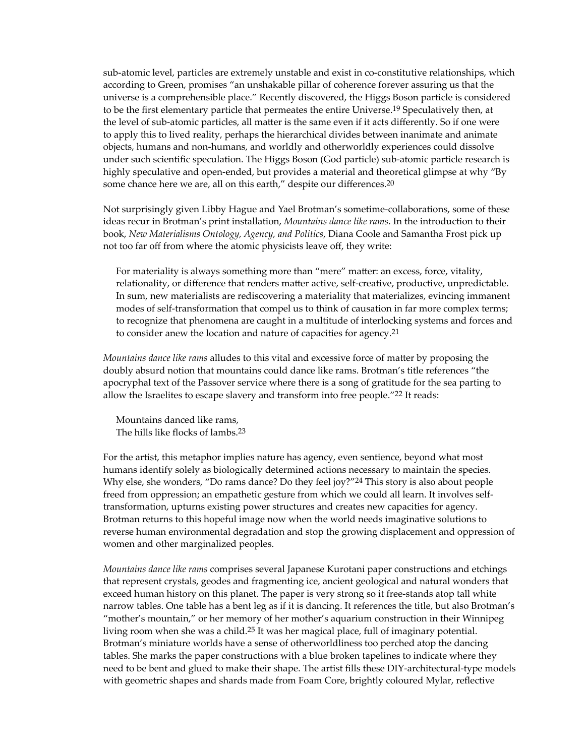sub-atomic level, particles are extremely unstable and exist in co-constitutive relationships, which according to Green, promises "an unshakable pillar of coherence forever assuring us that the universe is a comprehensible place." Recently discovered, the Higgs Boson particle is considered to be the first elementary particle that permeates the entire Universe.<sup>19</sup> Speculatively then, at the level of sub-atomic particles, all matter is the same even if it acts differently. So if one were to apply this to lived reality, perhaps the hierarchical divides between inanimate and animate objects, humans and non-humans, and worldly and otherworldly experiences could dissolve under such scientific speculation. The Higgs Boson (God particle) sub-atomic particle research is highly speculative and open-ended, but provides a material and theoretical glimpse at why "By some chance here we are, all on this earth," despite our differences.<sup>20</sup>

Not surprisingly given Libby Hague and Yael Brotman's sometime-collaborations, some of these ideas recur in Brotman's print installation, *Mountains dance like rams*. In the introduction to their book, *New Materialisms Ontology, Agency, and Politics*, Diana Coole and Samantha Frost pick up not too far off from where the atomic physicists leave off, they write:

For materiality is always something more than "mere" matter: an excess, force, vitality, relationality, or difference that renders matter active, self-creative, productive, unpredictable. In sum, new materialists are rediscovering a materiality that materializes, evincing immanent modes of self-transformation that compel us to think of causation in far more complex terms; to recognize that phenomena are caught in a multitude of interlocking systems and forces and to consider anew the location and nature of capacities for agency.21

*Mountains dance like rams* alludes to this vital and excessive force of matter by proposing the doubly absurd notion that mountains could dance like rams. Brotman's title references "the apocryphal text of the Passover service where there is a song of gratitude for the sea parting to allow the Israelites to escape slavery and transform into free people."22 It reads:

Mountains danced like rams, The hills like flocks of lambs.23

For the artist, this metaphor implies nature has agency, even sentience, beyond what most humans identify solely as biologically determined actions necessary to maintain the species. Why else, she wonders, "Do rams dance? Do they feel joy?"<sup>24</sup> This story is also about people freed from oppression; an empathetic gesture from which we could all learn. It involves selftransformation, upturns existing power structures and creates new capacities for agency. Brotman returns to this hopeful image now when the world needs imaginative solutions to reverse human environmental degradation and stop the growing displacement and oppression of women and other marginalized peoples.

*Mountains dance like rams* comprises several Japanese Kurotani paper constructions and etchings that represent crystals, geodes and fragmenting ice, ancient geological and natural wonders that exceed human history on this planet. The paper is very strong so it free-stands atop tall white narrow tables. One table has a bent leg as if it is dancing. It references the title, but also Brotman's "mother's mountain," or her memory of her mother's aquarium construction in their Winnipeg living room when she was a child.25 It was her magical place, full of imaginary potential. Brotman's miniature worlds have a sense of otherworldliness too perched atop the dancing tables. She marks the paper constructions with a blue broken tapelines to indicate where they need to be bent and glued to make their shape. The artist fills these DIY-architectural-type models with geometric shapes and shards made from Foam Core, brightly coloured Mylar, reflective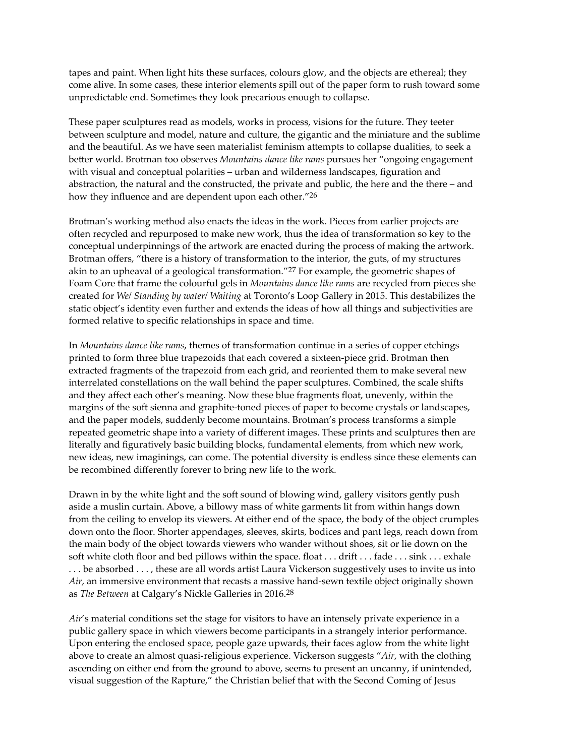tapes and paint. When light hits these surfaces, colours glow, and the objects are ethereal; they come alive. In some cases, these interior elements spill out of the paper form to rush toward some unpredictable end. Sometimes they look precarious enough to collapse.

These paper sculptures read as models, works in process, visions for the future. They teeter between sculpture and model, nature and culture, the gigantic and the miniature and the sublime and the beautiful. As we have seen materialist feminism attempts to collapse dualities, to seek a better world. Brotman too observes *Mountains dance like rams* pursues her "ongoing engagement with visual and conceptual polarities – urban and wilderness landscapes, figuration and abstraction, the natural and the constructed, the private and public, the here and the there – and how they influence and are dependent upon each other."26

Brotman's working method also enacts the ideas in the work. Pieces from earlier projects are often recycled and repurposed to make new work, thus the idea of transformation so key to the conceptual underpinnings of the artwork are enacted during the process of making the artwork. Brotman offers, "there is a history of transformation to the interior, the guts, of my structures akin to an upheaval of a geological transformation."27 For example, the geometric shapes of Foam Core that frame the colourful gels in *Mountains dance like rams* are recycled from pieces she created for *We/ Standing by water/ Waiting* at Toronto's Loop Gallery in 2015. This destabilizes the static object's identity even further and extends the ideas of how all things and subjectivities are formed relative to specific relationships in space and time.

In *Mountains dance like rams*, themes of transformation continue in a series of copper etchings printed to form three blue trapezoids that each covered a sixteen-piece grid. Brotman then extracted fragments of the trapezoid from each grid, and reoriented them to make several new interrelated constellations on the wall behind the paper sculptures. Combined, the scale shifts and they affect each other's meaning. Now these blue fragments float, unevenly, within the margins of the soft sienna and graphite-toned pieces of paper to become crystals or landscapes, and the paper models, suddenly become mountains. Brotman's process transforms a simple repeated geometric shape into a variety of different images. These prints and sculptures then are literally and figuratively basic building blocks, fundamental elements, from which new work, new ideas, new imaginings, can come. The potential diversity is endless since these elements can be recombined differently forever to bring new life to the work.

Drawn in by the white light and the soft sound of blowing wind, gallery visitors gently push aside a muslin curtain. Above, a billowy mass of white garments lit from within hangs down from the ceiling to envelop its viewers. At either end of the space, the body of the object crumples down onto the floor. Shorter appendages, sleeves, skirts, bodices and pant legs, reach down from the main body of the object towards viewers who wander without shoes, sit or lie down on the soft white cloth floor and bed pillows within the space. float . . . drift . . . fade . . . sink . . . exhale . . . be absorbed . . . , these are all words artist Laura Vickerson suggestively uses to invite us into *Air*, an immersive environment that recasts a massive hand-sewn textile object originally shown as *The Between* at Calgary's Nickle Galleries in 2016.28

*Air*'s material conditions set the stage for visitors to have an intensely private experience in a public gallery space in which viewers become participants in a strangely interior performance. Upon entering the enclosed space, people gaze upwards, their faces aglow from the white light above to create an almost quasi-religious experience. Vickerson suggests "*Air*, with the clothing ascending on either end from the ground to above, seems to present an uncanny, if unintended, visual suggestion of the Rapture," the Christian belief that with the Second Coming of Jesus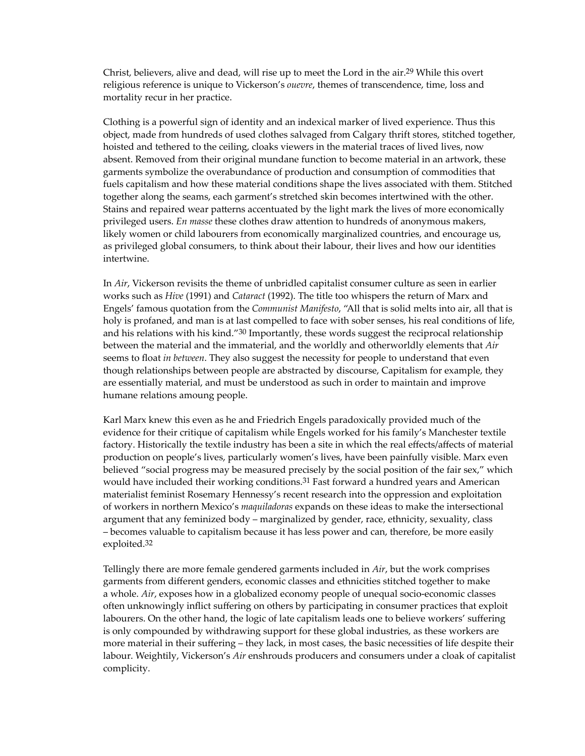Christ, believers, alive and dead, will rise up to meet the Lord in the air.29 While this overt religious reference is unique to Vickerson's *ouevre*, themes of transcendence, time, loss and mortality recur in her practice.

Clothing is a powerful sign of identity and an indexical marker of lived experience. Thus this object, made from hundreds of used clothes salvaged from Calgary thrift stores, stitched together, hoisted and tethered to the ceiling, cloaks viewers in the material traces of lived lives, now absent. Removed from their original mundane function to become material in an artwork, these garments symbolize the overabundance of production and consumption of commodities that fuels capitalism and how these material conditions shape the lives associated with them. Stitched together along the seams, each garment's stretched skin becomes intertwined with the other. Stains and repaired wear patterns accentuated by the light mark the lives of more economically privileged users. *En masse* these clothes draw attention to hundreds of anonymous makers, likely women or child labourers from economically marginalized countries, and encourage us, as privileged global consumers, to think about their labour, their lives and how our identities intertwine.

In *Air*, Vickerson revisits the theme of unbridled capitalist consumer culture as seen in earlier works such as *Hive* (1991) and *Cataract* (1992). The title too whispers the return of Marx and Engels' famous quotation from the *Communist Manifesto*, "All that is solid melts into air, all that is holy is profaned, and man is at last compelled to face with sober senses, his real conditions of life, and his relations with his kind." $30$  Importantly, these words suggest the reciprocal relationship between the material and the immaterial, and the worldly and otherworldly elements that *Air* seems to float *in between*. They also suggest the necessity for people to understand that even though relationships between people are abstracted by discourse, Capitalism for example, they are essentially material, and must be understood as such in order to maintain and improve humane relations amoung people.

Karl Marx knew this even as he and Friedrich Engels paradoxically provided much of the evidence for their critique of capitalism while Engels worked for his family's Manchester textile factory. Historically the textile industry has been a site in which the real effects/affects of material production on people's lives, particularly women's lives, have been painfully visible. Marx even believed "social progress may be measured precisely by the social position of the fair sex," which would have included their working conditions.<sup>31</sup> Fast forward a hundred years and American materialist feminist Rosemary Hennessy's recent research into the oppression and exploitation of workers in northern Mexico's *maquiladoras* expands on these ideas to make the intersectional argument that any feminized body – marginalized by gender, race, ethnicity, sexuality, class – becomes valuable to capitalism because it has less power and can, therefore, be more easily exploited.32

Tellingly there are more female gendered garments included in *Air*, but the work comprises garments from different genders, economic classes and ethnicities stitched together to make a whole. *Air*, exposes how in a globalized economy people of unequal socio-economic classes often unknowingly inflict suffering on others by participating in consumer practices that exploit labourers. On the other hand, the logic of late capitalism leads one to believe workers' suffering is only compounded by withdrawing support for these global industries, as these workers are more material in their suffering – they lack, in most cases, the basic necessities of life despite their labour. Weightily, Vickerson's *Air* enshrouds producers and consumers under a cloak of capitalist complicity.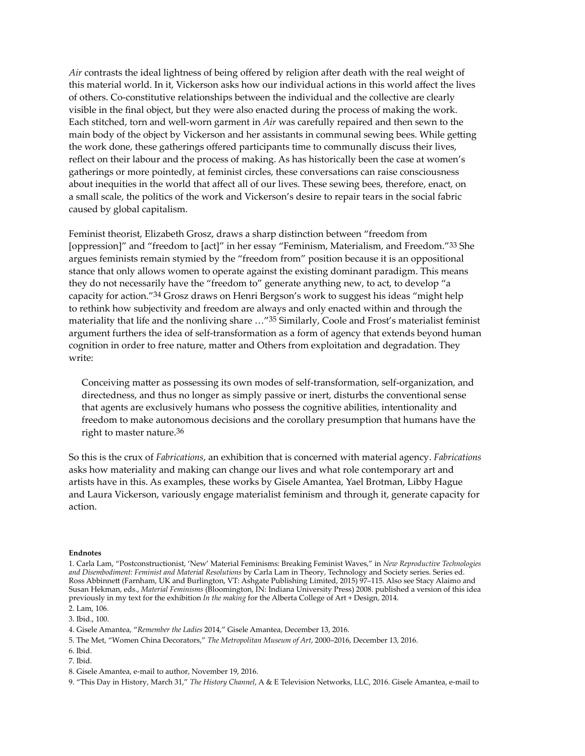*Air* contrasts the ideal lightness of being offered by religion after death with the real weight of this material world. In it, Vickerson asks how our individual actions in this world affect the lives of others. Co-constitutive relationships between the individual and the collective are clearly visible in the final object, but they were also enacted during the process of making the work. Each stitched, torn and well-worn garment in *Air* was carefully repaired and then sewn to the main body of the object by Vickerson and her assistants in communal sewing bees. While getting the work done, these gatherings offered participants time to communally discuss their lives, reflect on their labour and the process of making. As has historically been the case at women's gatherings or more pointedly, at feminist circles, these conversations can raise consciousness about inequities in the world that affect all of our lives. These sewing bees, therefore, enact, on a small scale, the politics of the work and Vickerson's desire to repair tears in the social fabric caused by global capitalism.

Feminist theorist, Elizabeth Grosz, draws a sharp distinction between "freedom from [oppression]" and "freedom to [act]" in her essay "Feminism, Materialism, and Freedom."33 She argues feminists remain stymied by the "freedom from" position because it is an oppositional stance that only allows women to operate against the existing dominant paradigm. This means they do not necessarily have the "freedom to" generate anything new, to act, to develop "a capacity for action."34 Grosz draws on Henri Bergson's work to suggest his ideas "might help to rethink how subjectivity and freedom are always and only enacted within and through the materiality that life and the nonliving share …"35 Similarly, Coole and Frost's materialist feminist argument furthers the idea of self-transformation as a form of agency that extends beyond human cognition in order to free nature, matter and Others from exploitation and degradation. They write:

Conceiving matter as possessing its own modes of self-transformation, self-organization, and directedness, and thus no longer as simply passive or inert, disturbs the conventional sense that agents are exclusively humans who possess the cognitive abilities, intentionality and freedom to make autonomous decisions and the corollary presumption that humans have the right to master nature.36

So this is the crux of *Fabrications*, an exhibition that is concerned with material agency. *Fabrications* asks how materiality and making can change our lives and what role contemporary art and artists have in this. As examples, these works by Gisele Amantea, Yael Brotman, Libby Hague and Laura Vickerson, variously engage materialist feminism and through it, generate capacity for action.

## **Endnotes**

2. Lam, 106.

<sup>1.</sup> Carla Lam, "Postconstructionist, 'New' Material Feminisms: Breaking Feminist Waves," in *New Reproductive Technologies and Disembodiment: Feminist and Material Resolutions* by Carla Lam in Theory, Technology and Society series. Series ed. Ross Abbinnett (Farnham, UK and Burlington, VT: Ashgate Publishing Limited, 2015) 97–115. Also see Stacy Alaimo and Susan Hekman, eds., *Material Feminisms* (Bloomington, IN: Indiana University Press) 2008. published a version of this idea previously in my text for the exhibition *In the making* for the Alberta College of Art + Design, 2014.

<sup>3.</sup> Ibid., 100.

<sup>4.</sup> Gisele Amantea, "*Remember the Ladies* 2014," Gisele Amantea, December 13, 2016.

<sup>5.</sup> The Met, "Women China Decorators," *The Metropolitan Museum of Art*, 2000–2016, December 13, 2016.

<sup>6.</sup> Ibid.

<sup>7.</sup> Ibid.

<sup>8.</sup> Gisele Amantea, e-mail to author, November 19, 2016.

<sup>9. &</sup>quot;This Day in History, March 31," *The History Channel*, A & E Television Networks, LLC, 2016. Gisele Amantea, e-mail to